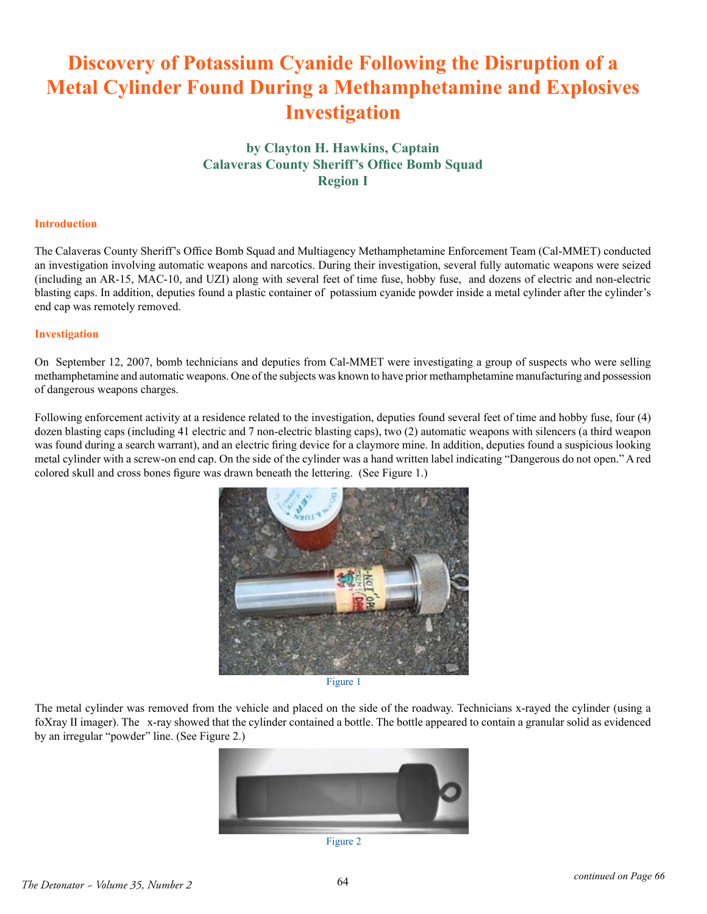# **Discovery of Potassium Cyanide Following the Disruption of a Metal Cylinder Found During a Methamphetamine and Explosives Investigation**

# **by Clayton H. Hawkins, Captain Calaveras County Sheriff's Office Bomb Squad Region I**

# **Introduction**

The Calaveras County Sheriff's Office Bomb Squad and Multiagency Methamphetamine Enforcement Team (Cal-MMET) conducted an investigation involving automatic weapons and narcotics. During their investigation, several fully automatic weapons were seized (including an AR-15, MAC-10, and UZI) along with several feet of time fuse, hobby fuse, and dozens of electric and non-electric blasting caps. In addition, deputies found a plastic container of potassium cyanide powder inside a metal cylinder after the cylinder's end cap was remotely removed.

## **Investigation**

On September 12, 2007, bomb technicians and deputies from Cal-MMET were investigating a group of suspects who were selling methamphetamine and automatic weapons. One of the subjects was known to have prior methamphetamine manufacturing and possession of dangerous weapons charges.

Following enforcement activity at a residence related to the investigation, deputies found several feet of time and hobby fuse, four (4) dozen blasting caps (including 41 electric and 7 non-electric blasting caps), two (2) automatic weapons with silencers (a third weapon was found during a search warrant), and an electric firing device for a claymore mine. In addition, deputies found a suspicious looking metal cylinder with a screw-on end cap. On the side of the cylinder was a hand written label indicating "Dangerous do not open." A red colored skull and cross bones figure was drawn beneath the lettering. (See Figure 1.)



Figure 1

The metal cylinder was removed from the vehicle and placed on the side of the roadway. Technicians x-rayed the cylinder (using a foXray II imager). The x-ray showed that the cylinder contained a bottle. The bottle appeared to contain a granular solid as evidenced by an irregular "powder" line. (See Figure 2.)



Figure 2